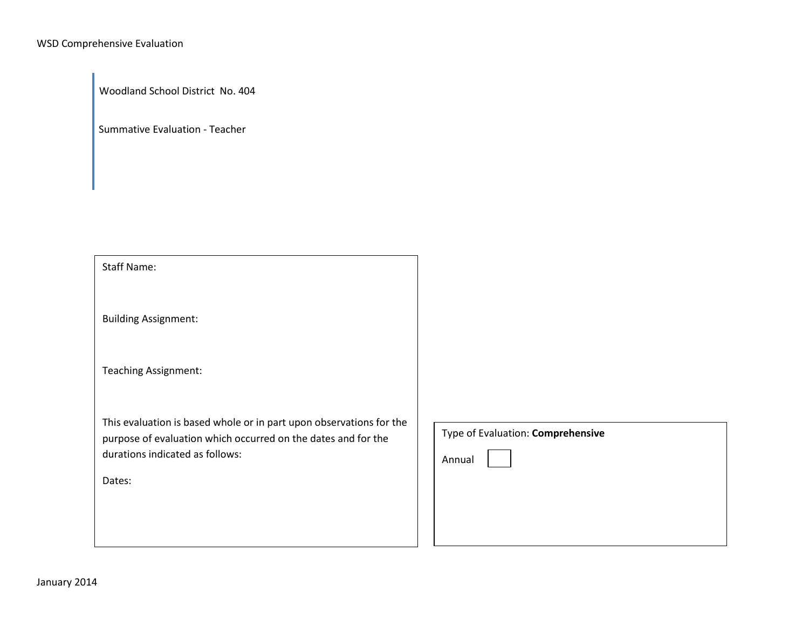Woodland School District No. 404

Summative Evaluation - Teacher

Staff Name:

Building Assignment:

Teaching Assignment:

This evaluation is based whole or in part upon observations for the purpose of evaluation which occurred on the dates and for the durations indicated as follows:

Dates:

| Type of Evaluation: Comprehensive |  |  |  |  |
|-----------------------------------|--|--|--|--|
| Annual                            |  |  |  |  |
|                                   |  |  |  |  |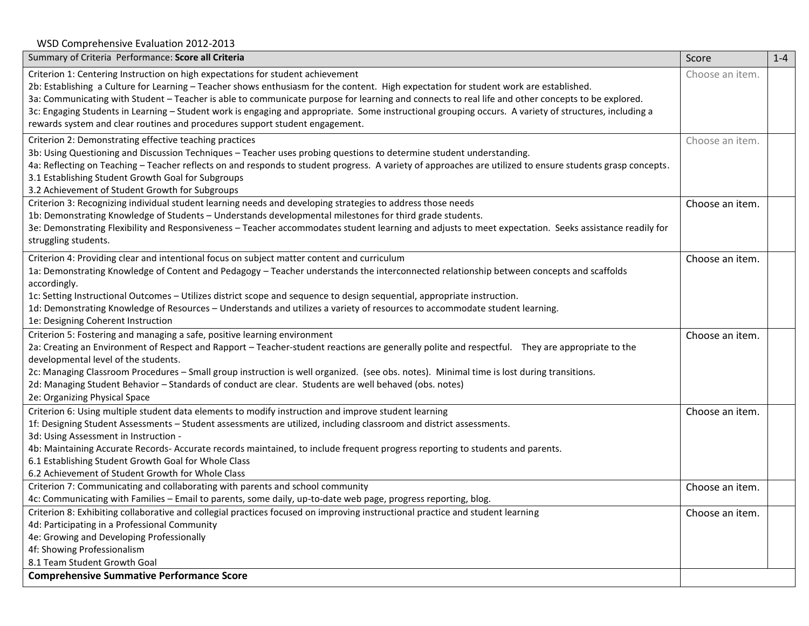WSD Comprehensive Evaluation 2012-2013

| Summary of Criteria Performance: Score all Criteria                                                                                                        | Score           | $1 - 4$ |
|------------------------------------------------------------------------------------------------------------------------------------------------------------|-----------------|---------|
| Criterion 1: Centering Instruction on high expectations for student achievement                                                                            | Choose an item. |         |
| 2b: Establishing a Culture for Learning - Teacher shows enthusiasm for the content. High expectation for student work are established.                     |                 |         |
| 3a: Communicating with Student - Teacher is able to communicate purpose for learning and connects to real life and other concepts to be explored.          |                 |         |
| 3c: Engaging Students in Learning - Student work is engaging and appropriate. Some instructional grouping occurs. A variety of structures, including a     |                 |         |
| rewards system and clear routines and procedures support student engagement.                                                                               |                 |         |
| Criterion 2: Demonstrating effective teaching practices                                                                                                    | Choose an item. |         |
| 3b: Using Questioning and Discussion Techniques - Teacher uses probing questions to determine student understanding.                                       |                 |         |
| 4a: Reflecting on Teaching - Teacher reflects on and responds to student progress. A variety of approaches are utilized to ensure students grasp concepts. |                 |         |
| 3.1 Establishing Student Growth Goal for Subgroups                                                                                                         |                 |         |
| 3.2 Achievement of Student Growth for Subgroups                                                                                                            |                 |         |
| Criterion 3: Recognizing individual student learning needs and developing strategies to address those needs                                                | Choose an item. |         |
| 1b: Demonstrating Knowledge of Students - Understands developmental milestones for third grade students.                                                   |                 |         |
| 3e: Demonstrating Flexibility and Responsiveness - Teacher accommodates student learning and adjusts to meet expectation. Seeks assistance readily for     |                 |         |
| struggling students.                                                                                                                                       |                 |         |
| Criterion 4: Providing clear and intentional focus on subject matter content and curriculum                                                                | Choose an item. |         |
| 1a: Demonstrating Knowledge of Content and Pedagogy - Teacher understands the interconnected relationship between concepts and scaffolds                   |                 |         |
| accordingly.                                                                                                                                               |                 |         |
| 1c: Setting Instructional Outcomes - Utilizes district scope and sequence to design sequential, appropriate instruction.                                   |                 |         |
| 1d: Demonstrating Knowledge of Resources - Understands and utilizes a variety of resources to accommodate student learning.                                |                 |         |
| 1e: Designing Coherent Instruction                                                                                                                         |                 |         |
| Criterion 5: Fostering and managing a safe, positive learning environment                                                                                  | Choose an item. |         |
| 2a: Creating an Environment of Respect and Rapport - Teacher-student reactions are generally polite and respectful. They are appropriate to the            |                 |         |
| developmental level of the students.                                                                                                                       |                 |         |
| 2c: Managing Classroom Procedures - Small group instruction is well organized. (see obs. notes). Minimal time is lost during transitions.                  |                 |         |
| 2d: Managing Student Behavior - Standards of conduct are clear. Students are well behaved (obs. notes)                                                     |                 |         |
| 2e: Organizing Physical Space                                                                                                                              |                 |         |
| Criterion 6: Using multiple student data elements to modify instruction and improve student learning                                                       | Choose an item. |         |
| 1f: Designing Student Assessments - Student assessments are utilized, including classroom and district assessments.                                        |                 |         |
| 3d: Using Assessment in Instruction -                                                                                                                      |                 |         |
| 4b: Maintaining Accurate Records-Accurate records maintained, to include frequent progress reporting to students and parents.                              |                 |         |
| 6.1 Establishing Student Growth Goal for Whole Class                                                                                                       |                 |         |
| 6.2 Achievement of Student Growth for Whole Class                                                                                                          |                 |         |
| Criterion 7: Communicating and collaborating with parents and school community                                                                             | Choose an item. |         |
| 4c: Communicating with Families - Email to parents, some daily, up-to-date web page, progress reporting, blog.                                             |                 |         |
| Criterion 8: Exhibiting collaborative and collegial practices focused on improving instructional practice and student learning                             | Choose an item. |         |
| 4d: Participating in a Professional Community                                                                                                              |                 |         |
| 4e: Growing and Developing Professionally                                                                                                                  |                 |         |
| 4f: Showing Professionalism                                                                                                                                |                 |         |
| 8.1 Team Student Growth Goal                                                                                                                               |                 |         |
| <b>Comprehensive Summative Performance Score</b>                                                                                                           |                 |         |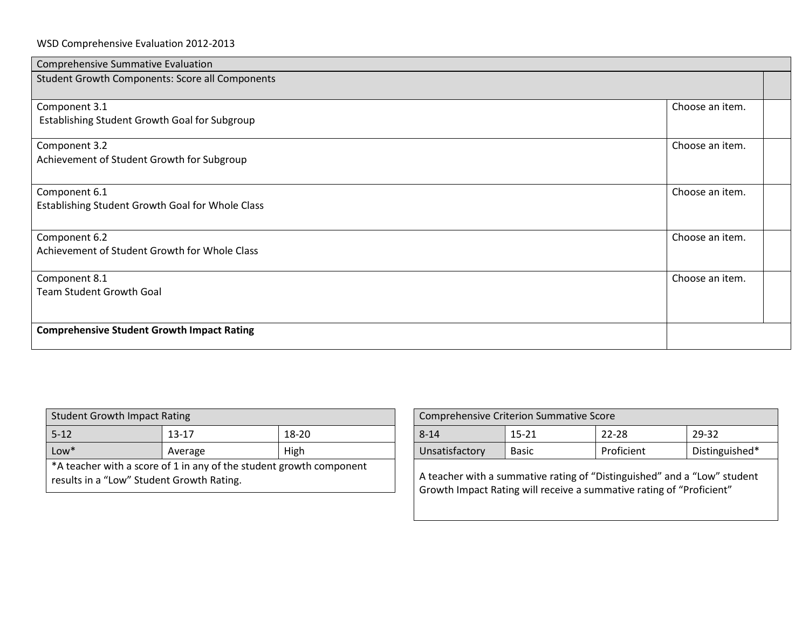| Comprehensive Summative Evaluation                     |                 |  |
|--------------------------------------------------------|-----------------|--|
| <b>Student Growth Components: Score all Components</b> |                 |  |
|                                                        |                 |  |
| Component 3.1                                          | Choose an item. |  |
| Establishing Student Growth Goal for Subgroup          |                 |  |
| Component 3.2                                          | Choose an item. |  |
|                                                        |                 |  |
| Achievement of Student Growth for Subgroup             |                 |  |
|                                                        |                 |  |
| Component 6.1                                          | Choose an item. |  |
| Establishing Student Growth Goal for Whole Class       |                 |  |
|                                                        |                 |  |
| Component 6.2                                          | Choose an item. |  |
| Achievement of Student Growth for Whole Class          |                 |  |
|                                                        |                 |  |
| Component 8.1                                          | Choose an item. |  |
| <b>Team Student Growth Goal</b>                        |                 |  |
|                                                        |                 |  |
|                                                        |                 |  |
| <b>Comprehensive Student Growth Impact Rating</b>      |                 |  |
|                                                        |                 |  |

| <b>Student Growth Impact Rating</b>       |                                                                     |       |                                                                       | <b>Comprehensive Criterion Summative Score</b> |                                                                  |        |
|-------------------------------------------|---------------------------------------------------------------------|-------|-----------------------------------------------------------------------|------------------------------------------------|------------------------------------------------------------------|--------|
| $5 - 12$                                  | $13 - 17$                                                           | 18-20 | $8 - 14$                                                              | $15 - 21$                                      | 22-28                                                            | 29-32  |
| $Low*$                                    | Average                                                             | High  | Unsatisfactory                                                        | <b>Basic</b>                                   | Proficient                                                       | Distin |
| results in a "Low" Student Growth Rating. | *A teacher with a score of 1 in any of the student growth component |       |                                                                       |                                                | A teacher with a summative rating of "Distinguished" and a "Low" |        |
|                                           |                                                                     |       | Cuculate Inspect Detinguilly resolved a question deting a fillustical |                                                |                                                                  |        |

| <b>Student Growth Impact Rating</b>                                                                              |           |       | <b>Comprehensive Criterion Summative Score</b> |              |                                                                                                                                                  |                |
|------------------------------------------------------------------------------------------------------------------|-----------|-------|------------------------------------------------|--------------|--------------------------------------------------------------------------------------------------------------------------------------------------|----------------|
| $5 - 12$                                                                                                         | $13 - 17$ | 18-20 | $8 - 14$                                       | 15-21        | $22 - 28$                                                                                                                                        | 29-32          |
| $Low*$                                                                                                           | Average   | High  | Unsatisfactory                                 | <b>Basic</b> | Proficient                                                                                                                                       | Distinguished* |
| *A teacher with a score of 1 in any of the student growth component<br>results in a "Low" Student Growth Rating. |           |       |                                                |              | A teacher with a summative rating of "Distinguished" and a "Low" student<br>Growth Impact Rating will receive a summative rating of "Proficient" |                |